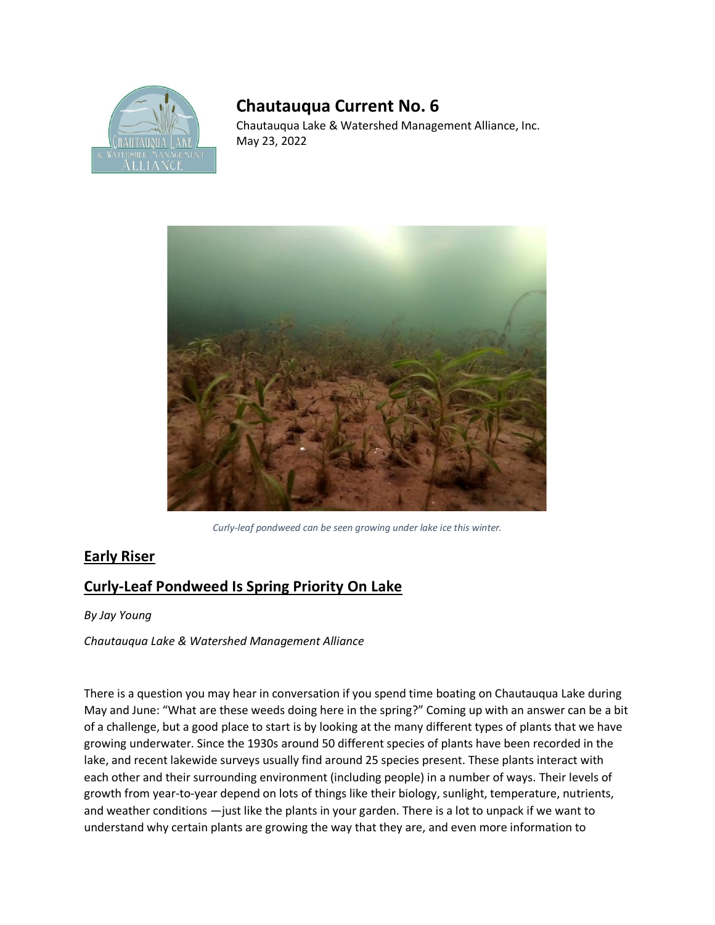

## **Chautauqua Current No. 6**

Chautauqua Lake & Watershed Management Alliance, Inc. May 23, 2022



*Curly-leaf pondweed can be seen growing under lake ice this winter.* 

## **Early Riser**

## **Curly-Leaf Pondweed Is Spring Priority On Lake**

*By Jay Young*

*Chautauqua Lake & Watershed Management Alliance* 

There is a question you may hear in conversation if you spend time boating on Chautauqua Lake during May and June: "What are these weeds doing here in the spring?" Coming up with an answer can be a bit of a challenge, but a good place to start is by looking at the many different types of plants that we have growing underwater. Since the 1930s around 50 different species of plants have been recorded in the lake, and recent lakewide surveys usually find around 25 species present. These plants interact with each other and their surrounding environment (including people) in a number of ways. Their levels of growth from year-to-year depend on lots of things like their biology, sunlight, temperature, nutrients, and weather conditions —just like the plants in your garden. There is a lot to unpack if we want to understand why certain plants are growing the way that they are, and even more information to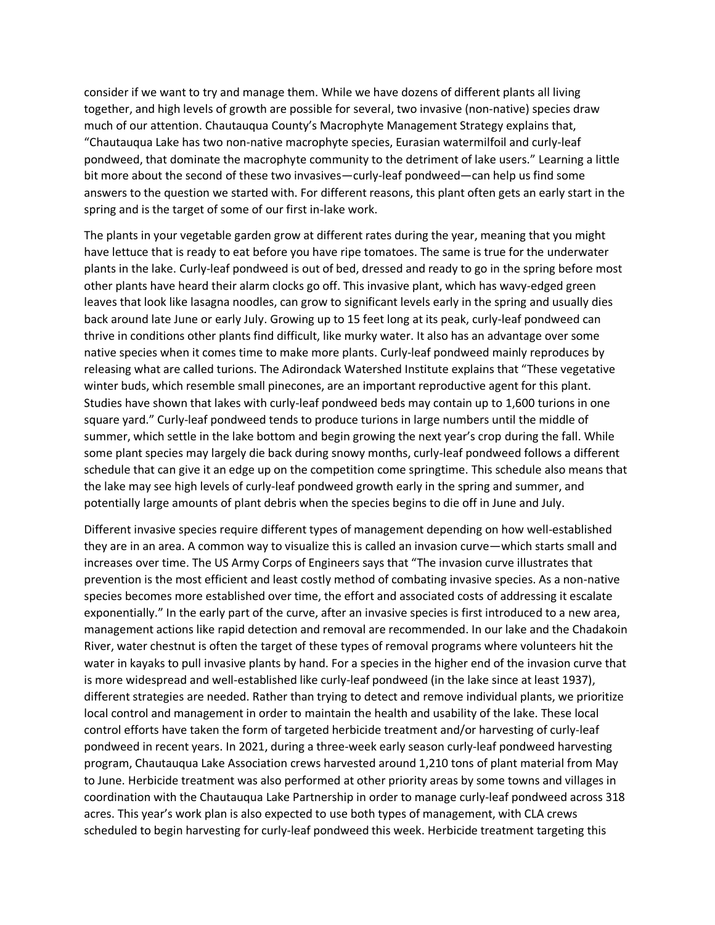consider if we want to try and manage them. While we have dozens of different plants all living together, and high levels of growth are possible for several, two invasive (non-native) species draw much of our attention. Chautauqua County's Macrophyte Management Strategy explains that, "Chautauqua Lake has two non-native macrophyte species, Eurasian watermilfoil and curly-leaf pondweed, that dominate the macrophyte community to the detriment of lake users." Learning a little bit more about the second of these two invasives—curly-leaf pondweed—can help us find some answers to the question we started with. For different reasons, this plant often gets an early start in the spring and is the target of some of our first in-lake work.

The plants in your vegetable garden grow at different rates during the year, meaning that you might have lettuce that is ready to eat before you have ripe tomatoes. The same is true for the underwater plants in the lake. Curly-leaf pondweed is out of bed, dressed and ready to go in the spring before most other plants have heard their alarm clocks go off. This invasive plant, which has wavy-edged green leaves that look like lasagna noodles, can grow to significant levels early in the spring and usually dies back around late June or early July. Growing up to 15 feet long at its peak, curly-leaf pondweed can thrive in conditions other plants find difficult, like murky water. It also has an advantage over some native species when it comes time to make more plants. Curly-leaf pondweed mainly reproduces by releasing what are called turions. The Adirondack Watershed Institute explains that "These vegetative winter buds, which resemble small pinecones, are an important reproductive agent for this plant. Studies have shown that lakes with curly-leaf pondweed beds may contain up to 1,600 turions in one square yard." Curly-leaf pondweed tends to produce turions in large numbers until the middle of summer, which settle in the lake bottom and begin growing the next year's crop during the fall. While some plant species may largely die back during snowy months, curly-leaf pondweed follows a different schedule that can give it an edge up on the competition come springtime. This schedule also means that the lake may see high levels of curly-leaf pondweed growth early in the spring and summer, and potentially large amounts of plant debris when the species begins to die off in June and July.

Different invasive species require different types of management depending on how well-established they are in an area. A common way to visualize this is called an invasion curve—which starts small and increases over time. The US Army Corps of Engineers says that "The invasion curve illustrates that prevention is the most efficient and least costly method of combating invasive species. As a non-native species becomes more established over time, the effort and associated costs of addressing it escalate exponentially." In the early part of the curve, after an invasive species is first introduced to a new area, management actions like rapid detection and removal are recommended. In our lake and the Chadakoin River, water chestnut is often the target of these types of removal programs where volunteers hit the water in kayaks to pull invasive plants by hand. For a species in the higher end of the invasion curve that is more widespread and well-established like curly-leaf pondweed (in the lake since at least 1937), different strategies are needed. Rather than trying to detect and remove individual plants, we prioritize local control and management in order to maintain the health and usability of the lake. These local control efforts have taken the form of targeted herbicide treatment and/or harvesting of curly-leaf pondweed in recent years. In 2021, during a three-week early season curly-leaf pondweed harvesting program, Chautauqua Lake Association crews harvested around 1,210 tons of plant material from May to June. Herbicide treatment was also performed at other priority areas by some towns and villages in coordination with the Chautauqua Lake Partnership in order to manage curly-leaf pondweed across 318 acres. This year's work plan is also expected to use both types of management, with CLA crews scheduled to begin harvesting for curly-leaf pondweed this week. Herbicide treatment targeting this